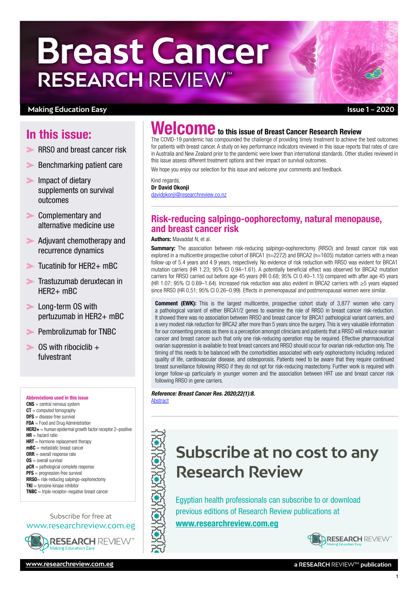# **Breast Cancer RESEARCH** REVIEW™

## **Making Education Easy**

# In this issue:

- RRSO and breast cancer risk
- $\blacktriangleright$ [Benchmarking patient care](#page-1-0)
- **Impact of dietary** [supplements on survival](#page-1-0)  [outcomes](#page-1-0)
- **Second** Complementary and [alternative medicine use](#page-1-0)
- Adjuvant chemotherapy and [recurrence dynamics](#page-2-0)
- $\sum$  Tucatinib for HFR2+ mBC
- [Trastuzumab deruxtecan in](#page-3-0)   $HFR2+ mRC$
- **Long-term OS with** [pertuzumab in HER2+ mBC](#page-3-0)
- **[Pembrolizumab for TNBC](#page-4-0)**
- $\triangleright$  OS with ribociclib + [fulvestrant](#page-4-0)

#### Abbreviations used in this issue  $CNS =$  central nervous system  $CT =$  computed tomography DFS = disease-free survival FDA = Food and Drug Administration  $HER2+$  = human epidermal growth factor receptor 2-positive  $HR =$  hazard ratio  $HRT =$  hormone replacement therapy  $mBC$  = metastatic breast cancer  $ORR =$  overall response rate

- OS = overall survival  $pCR =$  pathological complete response **PFS** = progression-free survival
- RRSO= risk-reducing salpingo-oophorectomy  $TKI =$  tyrosine kinase inhibitor

 $$ 

## Subscribe for free at [www.researchreview.com.eg](http://www.researchreview.com.eg)



# **elcome** to this issue of Breast Cancer Research Review

The COVID-19 pandemic has compounded the challenge of providing timely treatment to achieve the best outcomes for patients with breast cancer. A study on key performance indicators reviewed in this issue reports that rates of care in Australia and New Zealand prior to the pandemic were lower than international standards. Other studies reviewed in this issue assess different treatment options and their impact on survival outcomes.

We hope you enjoy our selection for this issue and welcome your comments and feedback.

Kind regards, Dr David Okonji [davidokonji@researchreview.co.nz](mailto:davidokonji%40researchreview.co.nz?subject=)

# Risk-reducing salpingo-oophorectomy, natural menopause, and breast cancer risk

#### Authors: Mavaddat N, et al.

**Summary:** The association between risk-reducing salpingo-oophorectomy (RRSO) and breast cancer risk was explored in a multicentre prospective cohort of BRCA1 (n=2272) and BRCA2 (n=1605) mutation carriers with a mean follow-up of 5.4 years and 4.9 years, respectively. No evidence of risk reduction with RRSO was evident for BRCA1 mutation carriers (HR 1.23; 95% CI 0.94–1.61). A potentially beneficial effect was observed for BRCA2 mutation carriers for RRSO carried out before age 45 years (HR 0.68; 95% CI 0.40–1.15) compared with after age 45 years (HR 1.07; 95% CI 0.69–1.64). Increased risk reduction was also evident in BRCA2 carriers with ≥5 years elapsed since RRSO (HR 0.51; 95% CI 0.26–0.99). Effects in premenopausal and postmenopausal women were similar.

**Comment (EWK):** This is the largest multicentre, prospective cohort study of 3,877 women who carry a pathological variant of either BRCA1/2 genes to examine the role of RRSO in breast cancer risk-reduction. It showed there was no association between RRSO and breast cancer for BRCA1 pathological variant carriers, and a very modest risk reduction for BRCA2 after more than 5 years since the surgery. This is very valuable information for our consenting process as there is a perception amongst clinicians and patients that a RRSO will reduce ovarian cancer and breast cancer such that only one risk-reducing operation may be required. Effective pharmaceutical ovarian suppression is available to treat breast cancers and RRSO should occur for ovarian risk-reduction only. The timing of this needs to be balanced with the comorbidities associated with early oophorectomy including reduced quality of life, cardiovascular disease, and osteoporosis. Patients need to be aware that they require continued breast surveillance following RRSO if they do not opt for risk-reducing mastectomy. Further work is required with longer follow-up particularly in younger women and the association between HRT use and breast cancer risk following RRSO in gene carriers.

#### *Reference: Breast Cancer Res. 2020;22(1):8.* **[Abstract](https://breast-cancer-research.biomedcentral.com/articles/10.1186/s13058-020-1247-4)**

# **Subscribe at no cost to any Research Review**

Egyptian health professionals can subscribe to or download previous editions of Research Review publications at [www.researchreview.c](http://www.researchreview.com.eg)om.eg



1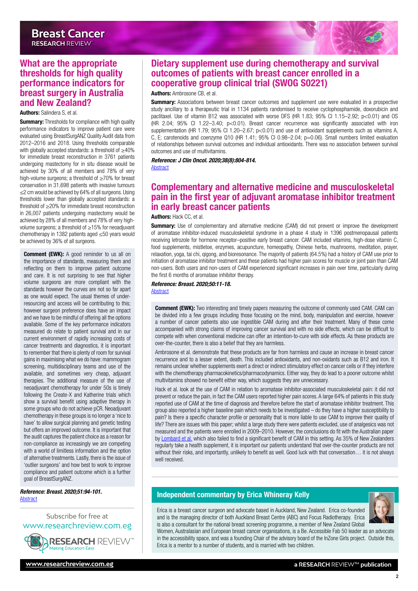<span id="page-1-0"></span>

#### Authors: Salindera S, et al.

**Summary:** Thresholds for compliance with high quality performance indicators to improve patient care were evaluated using BreastSurgANZ Quality Audit data from 2012–2016 and 2018. Using thresholds comparable with globally accepted standards: a threshold of ≥40% for immediate breast reconstruction in 3761 patients undergoing mastectomy for in situ disease would be achieved by 30% of all members and 78% of very high-volume surgeons; a threshold of ≥70% for breast conservation in 31,698 patients with invasive tumours ≤2 cm would be achieved by 64% of all surgeons. Using thresholds lower than globally accepted standards: a threshold of ≥20% for immediate breast reconstruction in 26,007 patients undergoing mastectomy would be achieved by 28% of all members and 78% of very highvolume surgeons; a threshold of ≥15% for neoadjuvant chemotherapy in 1382 patients aged ≤50 years would be achieved by 36% of all surgeons.

**Comment (EWK):** A good reminder to us all on the importance of standards, measuring them and reflecting on them to improve patient outcome and care. It is not surprising to see that higher volume surgeons are more compliant with the standards however the curves are not so far apart as one would expect. The usual themes of underresourcing and access will be contributing to this; however surgeon preference does have an impact and we have to be mindful of offering all the options available. Some of the key performance indicators measured do relate to patient survival and in our current environment of rapidly increasing costs of cancer treatments and diagnostics, it is important to remember that there is plenty of room for survival gains in maximising what we do have: mammogram screening, multidisciplinary teams and use of the available, and sometimes very cheap, adjuvant therapies. The additional measure of the use of neoadjuvant chemotherapy for under 50s is timely following the Create-X and Katherine trials which show a survival benefit using adaptive therapy in some groups who do not achieve pCR. Neoadjuvant chemotherapy in these groups is no longer a 'nice to have' to allow surgical planning and genetic testing but offers an improved outcome. It is important that the audit captures the patient choice as a reason for non-compliance as increasingly we are competing with a world of limitless information and the option of alternative treatments. Lastly, there is the issue of 'outlier surgeons' and how best to work to improve compliance and patient outcome which is a further goal of BreastSurgANZ.

#### *Reference: Breast. 2020;51:94-101.* **[Abstract](https://www.thebreastonline.com/article/S0960-9776(20)30008-4/fulltext)**

Subscribe for free at [www.researchreview.com.eg](http://www.researchreview.com.eg)



# Dietary supplement use during chemotherapy and survival outcomes of patients with breast cancer enrolled in a cooperative group clinical trial (SWOG S0221)

#### Authors: Ambrosone CB, et al.

**Summary:** Associations between breast cancer outcomes and supplement use were evaluated in a prospective study ancillary to a therapeutic trial in 1134 patients randomised to receive cyclophosphamide, doxorubicin and paclitaxel. Use of vitamin B12 was associated with worse DFS (HR 1.83; 95% CI 1.15–2.92; p<0.01) and OS (HR 2.04; 95% CI 1.22–3.40; p<0.01). Breast cancer recurrence was significantly associated with iron supplementation (HR 1.79; 95% CI 1.20-2.67; p<0.01) and use of antioxidant supplements such as vitamins A, C, E; carotenoids and coenzyme Q10 (HR 1.41; 95% CI 0.98–2.04; p=0.06). Small numbers limited evaluation of relationships between survival outcomes and individual antioxidants. There was no association between survival outcomes and use of multivitamins.

*Reference: J Clin Oncol. 2020;38(8):804-814.*

**[Abstract](https://ascopubs.org/doi/10.1200/JCO.19.01203)** 

# Complementary and alternative medicine and musculoskeletal pain in the first year of adjuvant aromatase inhibitor treatment in early breast cancer patients

Authors: Hack CC, et al.

**Summary:** Use of complementary and alternative medicine (CAM) did not prevent or improve the development of aromatase inhibitor-induced musculoskeletal syndrome in a phase 4 study in 1396 postmenopausal patients receiving letrozole for hormone receptor–positive early breast cancer. CAM included vitamins, high-dose vitamin C, food supplements, mistletoe, enzymes, acupuncture, homeopathy, Chinese herbs, mushrooms, meditation, prayer, relaxation, yoga, tai chi, qigong, and bioresonance. The majority of patients (64.5%) had a history of CAM use prior to initiation of aromatase inhibitor treatment and these patients had higher pain scores for muscle or joint pain than CAM non-users. Both users and non-users of CAM experienced significant increases in pain over time, particularly during the first 6 months of aromatase inhibitor therapy.

*Reference: Breast. 2020;50:11-18.* **[Abstract](https://www.thebreastonline.com/article/S0960-9776(20)30001-1/fulltext)** 

**Comment (EWK):** Two interesting and timely papers measuring the outcome of commonly used CAM. CAM can be divided into a few groups including those focusing on the mind, body, manipulation and exercise, however a number of cancer patients also use ingestible CAM during and after their treatment. Many of these come accompanied with strong claims of improving cancer survival and with no side effects, which can be difficult to compete with when conventional medicine can offer an intention-to-cure with side effects. As these products are over-the-counter, there is also a belief that they are harmless.

Ambrosone et al. demonstrate that these products are far from harmless and cause an increase in breast cancer recurrence and to a lesser extent, death. This included antioxidants, and non-oxidants such as B12 and iron. It remains unclear whether supplements exert a direct or indirect stimulatory effect on cancer cells or if they interfere with the chemotherapy pharmacokinetics/pharmacodynamics. Either way, they do lead to a poorer outcome whilst multivitamins showed no benefit either way, which suggests they are unnecessary.

Hack et al. look at the use of CAM in relation to aromatase inhibitor-associated musculoskeletal pain: it did not prevent or reduce the pain, in fact the CAM users reported higher pain scores. A large 64% of patients in this study reported use of CAM at the time of diagnosis and therefore before the start of aromatase inhibitor treatment. This group also reported a higher baseline pain which needs to be investigated – do they have a higher susceptibility to pain? Is there a specific character profile or personality that is more liable to use CAM to improve their quality of life? There are issues with this paper; whilst a large study there were patients excluded, use of analgesics was not measured and the patients were enrolled in 2009–2010. However, the conclusions do fit with the Australian paper by [Lombard et al.](https://link.springer.com/article/10.1007/s00520-015-3001-5) which also failed to find a significant benefit of CAM in this setting. As 35% of New Zealanders regularly take a health supplement, it is important our patients understand that over-the-counter products are not without their risks, and importantly, unlikely to benefit as well. Good luck with that conversation… it is not always well received.

#### Independent commentary by Erica Whineray Kelly



Erica is a breast cancer surgeon and advocate based in Auckland, New Zealand. Erica co-founded and is the managing director of both Auckland Breast Centre (ABC) and Focus Radiotherapy. Erica is also a consultant for the national breast screening programme, a member of New Zealand Global

Women, Australasian and European breast cancer organisations, is a Be. Accessible Fab 50 leader as an advocate in the accessibility space, and was a founding Chair of the advisory board of the InZone Girls project. Outside this, Erica is a mentor to a number of students, and is married with two children.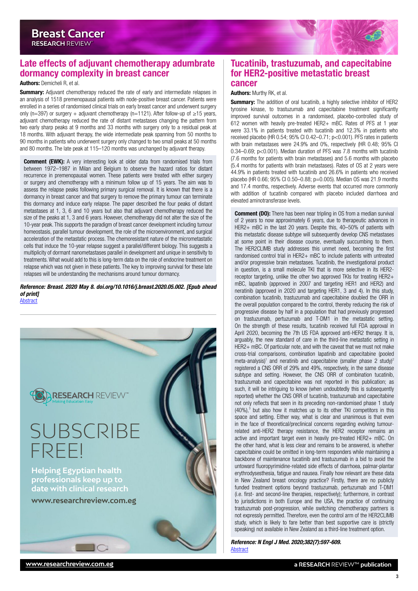<span id="page-2-0"></span>

Authors: Demicheli R, et al.

**Summary:** Adjuvant chemotherapy reduced the rate of early and intermediate relapses in an analysis of 1518 premenopausal patients with node-positive breast cancer. Patients were enrolled in a series of randomised clinical trials on early breast cancer and underwent surgery only (n=397) or surgery + adjuvant chemotherapy (n=1121). After follow-up of ≥15 years, adjuvant chemotherapy reduced the rate of distant metastases changing the pattern from two early sharp peaks at 9 months and 33 months with surgery only to a residual peak at 18 months. With adjuvant therapy, the wide intermediate peak spanning from 50 months to 90 months in patients who underwent surgery only changed to two small peaks at 50 months and 80 months. The late peak at 115–120 months was unchanged by adjuvant therapy.

**Comment (EWK):** A very interesting look at older data from randomised trials from between 1972–1987 in Milan and Belgium to observe the hazard ratios for distant recurrence in premenopausal women. These patients were treated with either surgery or surgery and chemotherapy with a minimum follow up of 15 years. The aim was to assess the relapse peaks following primary surgical removal. It is known that there is a dormancy in breast cancer and that surgery to remove the primary tumour can terminate this dormancy and induce early relapse. The paper described the four peaks of distant metastases at 1, 3, 6 and 10 years but also that adjuvant chemotherapy reduced the size of the peaks at 1, 3 and 6 years. However, chemotherapy did not alter the size of the 10-year peak. This supports the paradigm of breast cancer development including tumour homeostasis, parallel tumour development, the role of the microenvironment, and surgical acceleration of the metastatic process. The chemoresistant nature of the micrometastatic cells that induce the 10-year relapse suggest a parallel/different biology. This suggests a multiplicity of dormant nanometastases parallel in development and unique in sensitivity to treatments. What would add to this is long-term data on the role of endocrine treatment on relapse which was not given in these patients. The key to improving survival for these late relapses will be understanding the mechanisms around tumour dormancy.

*Reference: Breast. 2020 May 8. doi.org/10.1016/j.breast.2020.05.002. [Epub ahead of print]* [Abstract](https://www.sciencedirect.com/science/article/pii/S0960977620301090)



### Tucatinib, trastuzumab, and capecitabine for HER2-positive metastatic breast cancer

#### Authors: Murthy RK, et al.

**Summary:** The addition of oral tucatinib, a highly selective inhibitor of HER2 tyrosine kinase, to trastuzumab and capecitabine treatment significantly improved survival outcomes in a randomised, placebo-controlled study of 612 women with heavily pre-treated HER2+ mBC. Rates of PFS at 1 year were 33.1% in patients treated with tucatinib and 12.3% in patients who received placebo (HR 0.54; 95% CI 0.42–0.71; p<0.001). PFS rates in patients with brain metastases were 24.9% and 0%, respectively (HR 0.48; 95% CI 0.34–0.69; p<0.001). Median duration of PFS was 7.8 months with tucatinib (7.6 months for patients with brain metastases) and 5.6 months with placebo (5.4 months for patients with brain metastases). Rates of OS at 2 years were 44.9% in patients treated with tucatinib and 26.6% in patients who received placebo (HR 0.66; 95% CI 0.50–0.88; p=0.005). Median OS was 21.9 months and 17.4 months, respectively. Adverse events that occurred more commonly with addition of tucatinib compared with placebo included diarrhoea and elevated aminotransferase levels.

**Comment (DO):** There has been near tripling in OS from a median survival of 2 years to now approximately 6 years, due to therapeutic advances in HER2+ mBC in the last 20 years. Despite this, 40–50% of patients with this metastatic disease subtype will subsequently develop CNS metastases at some point in their disease course, eventually succumbing to them. The HER2CLIMB study addresses this unmet need, becoming the first randomised control trial in HER2+ mBC to include patients with untreated and/or progressive brain metastases. Tucatinib, the investigational product in question, is a small molecule TKI that is more selective in its HER2 receptor targeting, unlike the other two approved TKIs for treating HER2+ mBC, lapatinib (approved in 2007 and targeting HER1 and HER2) and neratinib (approved in 2020 and targeting HER1, 3 and 4). In this study, combination tucatinib, trastuzumab and capecitabine doubled the ORR in the overall population compared to the control, thereby reducing the risk of progressive disease by half in a population that had previously progressed on trastuzumab, pertuzumab and T-DM1 in the metastatic setting. On the strength of these results, tucatinib received full FDA approval in April 2020, becoming the 7th US FDA approved anti-HER2 therapy. It is, arguably, the new standard of care in the third-line metastatic setting in HER2+ mBC. Of particular note, and with the caveat that we must not make cross-trial comparisons, combination lapatinib and capecitabine (pooled meta-analysis)<sup>1</sup> and neratinib and capecitabine (smaller phase 2 study)<sup>2</sup> registered a CNS ORR of 29% and 49%, respectively, in the same disease subtype and setting. However, the CNS ORR of combination tucatinib, trastuzumab and capecitabine was not reported in this publication; as such, it will be intriguing to know (when undoubtedly this is subsequently reported) whether the CNS ORR of tucatinib, trastuzumab and capecitabine not only reflects that seen in its preceding non-randomised phase 1 study  $(40%)$ ,<sup>3</sup> but also how it matches up to its other TKI competitors in this space and setting. Either way, what is clear and unanimous is that even in the face of theoretical/preclinical concerns regarding evolving tumourrelated anti-HER2 therapy resistance, the HER2 receptor remains an active and important target even in heavily pre-treated HER2+ mBC. On the other hand, what is less clear and remains to be answered, is whether capecitabine could be omitted in long-term responders while maintaining a backbone of maintenance tucatinib and trastuzumab in a bid to avoid the untoward fluoropyrimidine-related side effects of diarrhoea, palmar-plantar erythrodysesthesia, fatigue and nausea. Finally how relevant are these data in New Zealand breast oncology practice? Firstly, there are no publicly funded treatment options beyond trastuzumab, pertuzumab and T-DM1 (i.e. first- and second-line therapies, respectively); furthermore, in contrast to jurisdictions in both Europe and the USA, the practice of continuing trastuzumab post-progression, while switching chemotherapy partners is not expressly permitted. Therefore, even the control arm of the HER2CLIMB study, which is likely to fare better than best supportive care is (strictly speaking) not available in New Zealand as a third-line treatment option.

*Reference: N Engl J Med. 2020;382(7):597-609.* [Abstract](https://www.nejm.org/doi/10.1056/NEJMoa1914609)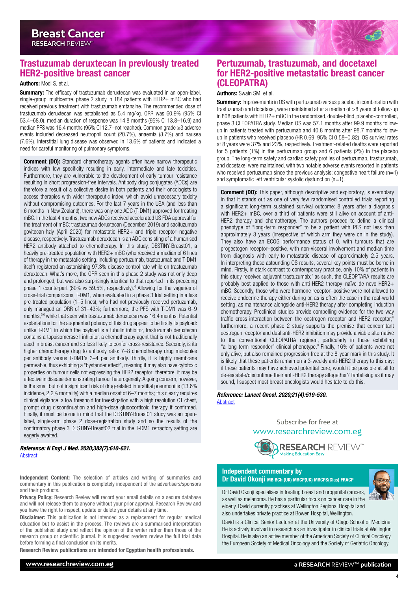# <span id="page-3-0"></span>Trastuzumab deruxtecan in previously treated HER2-positive breast cancer

#### Authors: Modi S, et al.

**Summary:** The efficacy of trastuzumab deruxtecan was evaluated in an open-label, single-group, multicentre, phase 2 study in 184 patients with HER2+ mBC who had received previous treatment with trastuzumab emtansine. The recommended dose of trastuzumab deruxtecan was established as 5.4 mg/kg. ORR was 60.9% (95% CI 53.4–68.0), median duration of response was 14.8 months (95% CI 13.8–16.9) and median PFS was 16.4 months (95% CI 12.7–not reached). Common grade ≥3 adverse events included decreased neutrophil count (20.7%), anaemia (8.7%) and nausea (7.6%). Interstitial lung disease was observed in 13.6% of patients and indicated a need for careful monitoring of pulmonary symptoms.

**Comment (DO):** Standard chemotherapy agents often have narrow therapeutic indices with low specificity resulting in early, intermediate and late toxicities. Furthermore, they are vulnerable to the development of early tumour resistance resulting in short progression-free intervals. Antibody drug conjugates (ADCs) are therefore a result of a collective desire in both patients and their oncologists to access therapies with wider therapeutic index, which avoid unnecessary toxicity without compromising outcomes. For the last 7 years in the USA (and less than 6 months in New Zealand), there was only one ADC (T-DM1) approved for treating mBC. In the last 4 months, two new ADCs received accelerated US FDA approval for the treatment of mBC: trastuzumab deruxtecan (December 2019) and sacituzumab govitecan-hziy (April 2020) for metastatic HER2+ and triple receptor–negative disease, respectively. Trastuzumab deruxtecan is an ADC consisting of a humanised HER2 antibody attached to chemotherapy. In this study, DESTINY-Breast01, a heavily pre-treated population with HER2+ mBC (who received a median of 6 lines of therapy in the metastatic setting, including pertuzumab, trastuzumab and T-DM1 itself) registered an astonishing 97.3% disease control rate while on trastuzumab deruxtecan. What's more, the ORR seen in this phase 2 study was not only deep and prolonged, but was also surprisingly identical to that reported in its preceding phase 1 counterpart (60% vs 59.5%, respectively).<sup>4</sup> Allowing for the vagaries of cross-trial comparisons, T-DM1, when evaluated in a phase 3 trial setting in a less pre-treated population (1–5 lines), who had not previously received pertuzumab, only managed an ORR of 31–43%; furthermore, the PFS with T-DM1 was 6–9 months,5,6 while that seen with trastuzumab deruxtecan was 16.4 months. Potential explanations for the augmented potency of this drug appear to be firstly its payload: unlike T-DM1 in which the payload is a tubulin inhibitor, trastuzumab deruxtecan contains a topoisomerase I inhibitor, a chemotherapy agent that is not traditionally used in breast cancer and so less likely to confer cross-resistance. Secondly, is its higher chemotherapy drug to antibody ratio: 7–8 chemotherapy drug molecules per antibody versus T-DM1's 3–4 per antibody. Thirdly, it is highly membrane permeable, thus exhibiting a "bystander effect", meaning it may also have cytotoxic properties on tumour cells not expressing the HER2 receptor; therefore, it may be effective in disease demonstrating tumour heterogeneity. A going concern, however, is the small but not insignificant risk of drug-related interstitial pneumonitis (13.6% incidence, 2.2% mortality) with a median onset of 6–7 months; this clearly requires clinical vigilance, a low threshold for investigation with a high resolution CT chest, prompt drug discontinuation and high-dose glucocorticoid therapy if confirmed. Finally, it must be borne in mind that the DESTINY-Breast01 study was an openlabel, single-arm phase 2 dose-registration study and so the results of the confirmatory phase 3 DESTINY-Breast02 trial in the T-DM1 refractory setting are eagerly awaited.

*Reference: N Engl J Med. 2020;382(7):610-621.* [Abstract](https://www.nejm.org/doi/10.1056/NEJMoa1914510)

Independent Content: The selection of articles and writing of summaries and commentary in this publication is completely independent of the advertisers/sponsors and their products.

Privacy Policy: Research Review will record your email details on a secure database and will not release them to anyone without your prior approval. Research Review and you have the right to inspect, update or delete your details at any time.

Disclaimer: This publication is not intended as a replacement for regular medical education but to assist in the process. The reviews are a summarised interpretation of the published study and reflect the opinion of the writer rather than those of the research group or scientific journal. It is suggested readers review the full trial data before forming a final conclusion on its merits.

Research Review publications are intended for Egyptian health professionals.

# Pertuzumab, trastuzumab, and docetaxel for HER2-positive metastatic breast cancer (CLEOPATRA)

#### Authors: Swain SM, et al.

**Summary:** Improvements in OS with pertuzumab versus placebo, in combination with trastuzumab and docetaxel, were maintained after a median of >8 years of follow-up in 808 patients with HER2+ mBC in the randomised, double-blind, placebo-controlled, phase 3 CLEOPATRA study. Median OS was 57.1 months after 99.9 months followup in patients treated with pertuzumab and 40.8 months after 98.7 months followup in patients who received placebo (HR 0.69; 95% CI 0.58–0.82). OS survival rates at 8 years were 37% and 23%, respectively. Treatment-related deaths were reported for 5 patients (1%) in the pertuzumab group and 6 patients (2%) in the placebo group. The long-term safety and cardiac safety profiles of pertuzumab, trastuzumab, and docetaxel were maintained, with two notable adverse events reported in patients who received pertuzumab since the previous analysis: congestive heart failure  $(n=1)$ and symptomatic left ventricular systolic dysfunction (n=1).

**Comment (DO):** This paper, although descriptive and exploratory, is exemplary in that it stands out as one of very few randomised controlled trials reporting a significant long-term sustained survival outcome: 8 years after a diagnosis with HER2+ mBC, over a third of patients were still alive on account of anti-HER2 therapy and chemotherapy. The authors proceed to define a clinical phenotype of "long-term responder" to be a patient with PFS not less than approximately 3 years (irrespective of which arm they were on in the study). They also have an ECOG performance status of 0, with tumours that are progestogen receptor–positive, with non-visceral involvement and median time from diagnosis with early-to-metastatic disease of approximately 2.5 years. In interpreting these astounding OS results, several key points must be borne in mind. Firstly, in stark contrast to contemporary practice, only 10% of patients in this study received adjuvant trastuzumab;<sup>7</sup> as such, the CLEOPTARA results are probably best applied to those with anti-HER2 therapy–naïve de novo HER2+ mBC. Secondly, those who were hormone receptor–positive were not allowed to receive endocrine therapy either during or, as is often the case in the real-world setting, as maintenance alongside anti-HER2 therapy after completing induction chemotherapy. Preclinical studies provide compelling evidence for the two-way traffic cross-interaction between the oestrogen receptor and HER2 receptor; furthermore, a recent phase 2 study supports the premise that concomitant oestrogen receptor and dual anti-HER2 inhibition may provide a viable alternative to the conventional CLEOPATRA regimen, particularly in those exhibiting "a long-term responder" clinical phenotype.9 Finally, 16% of patients were not only alive, but also remained progression free at the 8-year mark in this study. It is likely that these patients remain on a 3-weekly anti-HER2 therapy to this day; if these patients may have achieved potential cure, would it be possible at all to de-escalate/discontinue their anti-HER2 therapy altogether? Tantalising as it may sound, I suspect most breast oncologists would hesitate to do this.

*Reference: Lancet Oncol. 2020;21(4):519-530.* **[Abstract](https://www.thelancet.com/pdfs/journals/lanonc/PIIS1470-2045(19)30863-0.pdf)** 

> Subscribe for free at [www.researchreview.com.eg](http://www.researchreview.com.eg)



#### Independent commentary by Dr David Okonji MB BCh (UK) MRCP(UK) MRCPS(Glas) FRACP



Dr David Okonji specialises in treating breast and urogenital cancers, as well as melanoma. He has a particular focus on cancer care in the elderly. David currently practises at Wellington Regional Hospital and also undertakes private practice at Bowen Hospital, Wellington.

David is a Clinical Senior Lecturer at the University of Otago School of Medicine. He is actively involved in research as an investigator in clinical trials at Wellington Hospital. He is also an active member of the American Society of Clinical Oncology, the European Society of Medical Oncology and the Society of Geriatric Oncology.